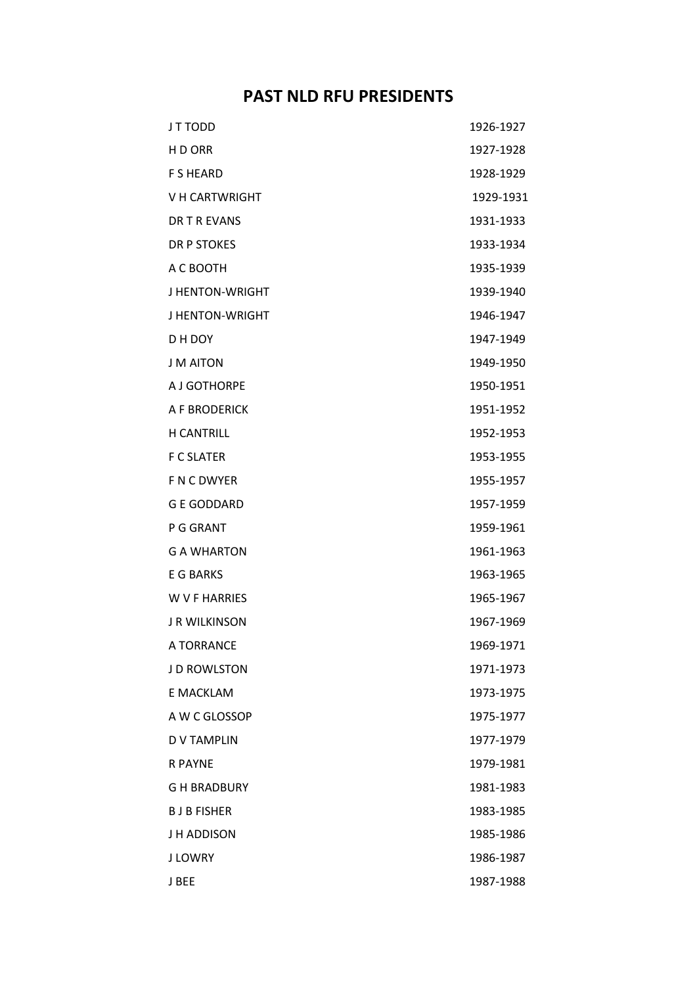## **PAST NLD RFU PRESIDENTS**

| J T TODD             | 1926-1927 |
|----------------------|-----------|
| H D ORR              | 1927-1928 |
| <b>F S HEARD</b>     | 1928-1929 |
| V H CARTWRIGHT       | 1929-1931 |
| DR T R EVANS         | 1931-1933 |
| <b>DR P STOKES</b>   | 1933-1934 |
| A C BOOTH            | 1935-1939 |
| J HENTON-WRIGHT      | 1939-1940 |
| J HENTON-WRIGHT      | 1946-1947 |
| D H DOY              | 1947-1949 |
| <b>J M AITON</b>     | 1949-1950 |
| A J GOTHORPE         | 1950-1951 |
| A F BRODERICK        | 1951-1952 |
| <b>H CANTRILL</b>    | 1952-1953 |
| <b>F C SLATER</b>    | 1953-1955 |
| F N C DWYER          | 1955-1957 |
| <b>G E GODDARD</b>   | 1957-1959 |
| P G GRANT            | 1959-1961 |
| <b>G A WHARTON</b>   | 1961-1963 |
| E G BARKS            | 1963-1965 |
| <b>W V F HARRIES</b> | 1965-1967 |
| <b>J R WILKINSON</b> | 1967-1969 |
| A TORRANCE           | 1969-1971 |
| J D ROWLSTON         | 1971-1973 |
| E MACKLAM            | 1973-1975 |
| A W C GLOSSOP        | 1975-1977 |
| <b>DV TAMPLIN</b>    | 1977-1979 |
| <b>R PAYNE</b>       | 1979-1981 |
| G H BRADBURY         | 1981-1983 |
| <b>BJBFISHER</b>     | 1983-1985 |
| J H ADDISON          | 1985-1986 |
| J LOWRY              | 1986-1987 |
| J BEE                | 1987-1988 |